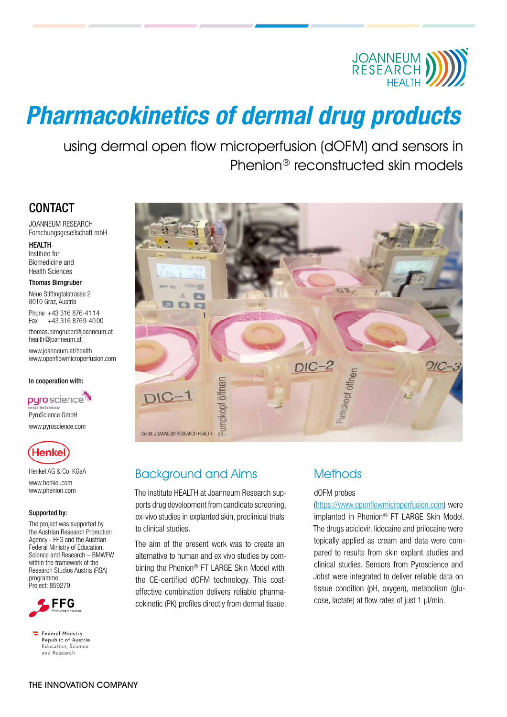

# Pharmacokinetics of dermal drug products

using dermal open flow microperfusion (dOFM) and sensors in Phenion® reconstructed skin models

### **CONTACT**

JOANNEUM RESEARCH Forschungsgesellschaft mbH

#### **HEALTH**

Institute for Biomedicine and Health Sciences

#### Thomas Birngruber

Neue Stiftingtalstrasse 2 8010 Graz, Austria

Phone +43 316 876-41 14<br>Fax +43 316 8769-400 +43 316 8769-40 00

thomas.birngruber@joanneum.at health@joanneum.at

www.joanneum.at/health www.openflowmicroperfusion.com

#### In cooperation with:

pyro science<sup>7</sup> PyroScience GmbH www.pyroscience.com



Henkel AG & Co. KGaA www.henkel.com www.phenion.com

#### Supported by:

The project was supported by the Austrian Research Promotion Agency - FFG and the Austrian Federal Ministry of Education, Science and Research – BMWFW within the framework of the Research Studios Austria (RSA) programme. Project: 859279



 $\equiv$  Federal Ministry Republic of Austria Education, Science and Research



## Background and Aims

The institute HEALTH at Joanneum Research supports drug development from candidate screening, ex-vivo studies in explanted skin, preclinical trials to clinical studies.

The aim of the present work was to create an alternative to human and ex vivo studies by combining the Phenion® FT LARGE Skin Model with the CE-certified dOFM technology. This costeffective combination delivers reliable pharmacokinetic (PK) profiles directly from dermal tissue.

### **Methods**

### dOFM probes

(https://www.openflowmicroperfusion.com) were implanted in Phenion® FT LARGE Skin Model. The drugs aciclovir, lidocaine and prilocaine were topically applied as cream and data were compared to results from skin explant studies and clinical studies. Sensors from Pyroscience and Jobst were integrated to deliver reliable data on tissue condition (pH, oxygen), metabolism (glucose, lactate) at flow rates of just 1 µl/min.